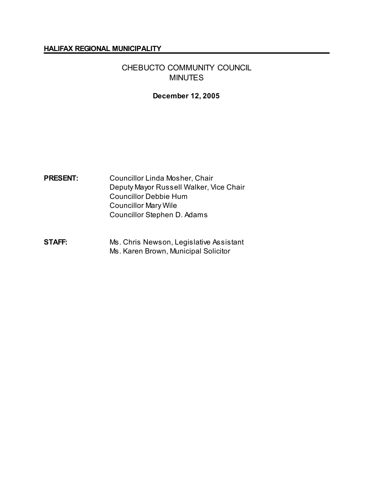#### **HALIFAX REGIONAL MUNICIPALITY**

# CHEBUCTO COMMUNITY COUNCIL MINUTES

### **December 12, 2005**

# **PRESENT:** Councillor Linda Mosher, Chair Deputy Mayor Russell Walker, Vice Chair Councillor Debbie Hum Councillor Mary Wile Councillor Stephen D. Adams

## **STAFF:** Ms. Chris Newson, Legislative Assistant Ms. Karen Brown, Municipal Solicitor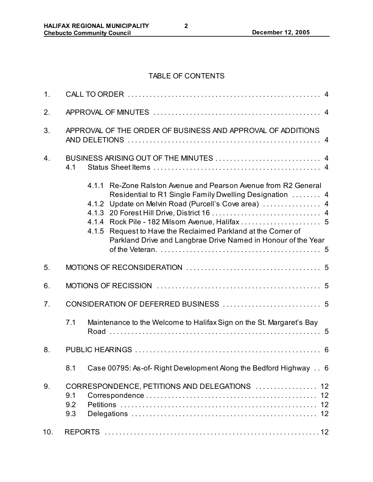## TABLE OF CONTENTS

| 1 <sub>1</sub> |                                                                                                                                                                                                                                                                                                                         |  |  |  |
|----------------|-------------------------------------------------------------------------------------------------------------------------------------------------------------------------------------------------------------------------------------------------------------------------------------------------------------------------|--|--|--|
| 2.             |                                                                                                                                                                                                                                                                                                                         |  |  |  |
| 3.             | APPROVAL OF THE ORDER OF BUSINESS AND APPROVAL OF ADDITIONS                                                                                                                                                                                                                                                             |  |  |  |
| 4.             | 4.1                                                                                                                                                                                                                                                                                                                     |  |  |  |
|                | 4.1.1 Re-Zone Ralston Avenue and Pearson Avenue from R2 General<br>Residential to R1 Single Family Dwelling Designation  4<br>Update on Melvin Road (Purcell's Cove area)  4<br>4.1.2<br>4.1.5 Request to Have the Reclaimed Parkland at the Corner of<br>Parkland Drive and Langbrae Drive Named in Honour of the Year |  |  |  |
| 5.             |                                                                                                                                                                                                                                                                                                                         |  |  |  |
| 6.             |                                                                                                                                                                                                                                                                                                                         |  |  |  |
| 7.             |                                                                                                                                                                                                                                                                                                                         |  |  |  |
|                | Maintenance to the Welcome to Halifax Sign on the St. Margaret's Bay<br>7.1                                                                                                                                                                                                                                             |  |  |  |
| 8.             |                                                                                                                                                                                                                                                                                                                         |  |  |  |
|                | Case 00795: As-of- Right Development Along the Bedford Highway 6<br>8.1                                                                                                                                                                                                                                                 |  |  |  |
| 9.             | CORRESPONDENCE, PETITIONS AND DELEGATIONS  12<br>9.1<br>9.2<br>9.3                                                                                                                                                                                                                                                      |  |  |  |
| 10.            |                                                                                                                                                                                                                                                                                                                         |  |  |  |

**2**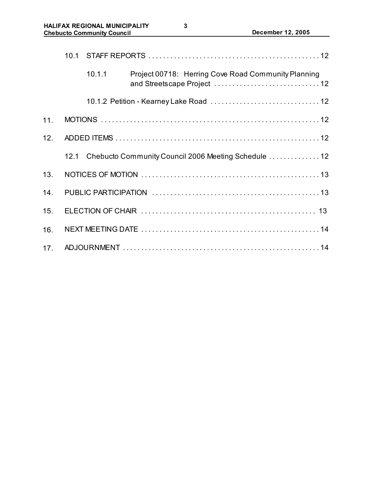|                 | 10.1 |        |                                                           |  |  |
|-----------------|------|--------|-----------------------------------------------------------|--|--|
|                 |      | 10.1.1 | Project 00718: Herring Cove Road Community Planning       |  |  |
|                 |      |        |                                                           |  |  |
| 11.             |      |        |                                                           |  |  |
| 12.             |      |        |                                                           |  |  |
|                 |      |        | 12.1 Chebucto Community Council 2006 Meeting Schedule  12 |  |  |
| 13.             |      |        |                                                           |  |  |
| 14.             |      |        |                                                           |  |  |
| 15.             |      |        |                                                           |  |  |
| 16.             |      |        |                                                           |  |  |
| 17 <sub>1</sub> |      |        |                                                           |  |  |

**3**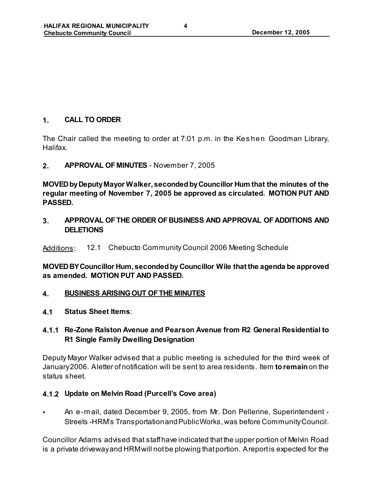# **1. CALL TO ORDER**

The Chair called the meeting to order at 7:01 p.m. in the Kes hen Goodman Library, Halifax.

**2. APPROVAL OF MINUTES** - November 7, 2005

**MOVED by Deputy Mayor Walker, seconded by Councillor Hum that the minutes of the regular meeting of November 7, 2005 be approved as circulated. MOTION PUT AND PASSED.**

**3. APPROVAL OF THE ORDER OF BUSINESS AND APPROVAL OF ADDITIONS AND DELETIONS**

Additions: 12.1 Chebucto Community Council 2006 Meeting Schedule

**MOVED BY Councillor Hum, seconded by Councillor Wile that the agenda be approved as amended. MOTION PUT AND PASSED.** 

- **4. BUSINESS ARISING OUT OF THE MINUTES**
- **4.1 Status Sheet Items**:
- **4.1.1 Re-Zone Ralston Avenue and Pearson Avenue from R2 General Residential to R1 Single Family Dwelling Designation**

Deputy Mayor Walker advised that a public meeting is scheduled for the third week of January 2006. A letter of notification will be sent to area residents. Item **to remain** on the status sheet.

### **4.1.2 Update on Melvin Road (Purcell's Cove area)**

• An e-m ail, dated December 9, 2005, from Mr. Don Pellerine, Superintendent - Streets -HRM's Transportation and Public Works, was before Community Council.

Councillor Adams advised that staff have indicated that the upper portion of Melvin Road is a private driveway and HRM will not be plowing that portion. A report is expected for the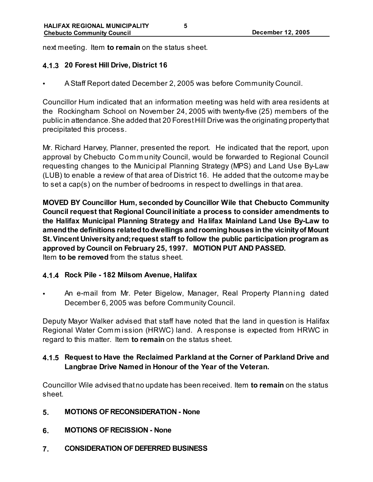next meeting. Item **to remain** on the status sheet.

### **4.1.3 20 Forest Hill Drive, District 16**

• A Staff Report dated December 2, 2005 was before Community Council.

Councillor Hum indicated that an information meeting was held with area residents at the Rockingham School on November 24, 2005 with twenty-five (25) members of the public in attendance. She added that 20 Forest Hill Drive was the originating property that precipitated this process.

Mr. Richard Harvey, Planner, presented the report. He indicated that the report, upon approval by Chebucto Com m unity Council, would be forwarded to Regional Council requesting changes to the Municipal Planning Strategy (MPS) and Land Use By-Law (LUB) to enable a review of that area of District 16. He added that the outcome may be to set a cap(s) on the number of bedrooms in respect to dwellings in that area.

**MOVED BY Councillor Hum, seconded by Councillor Wile that Chebucto Community Council request that Regional Council initiate a process to consider amendments to the Halifax Municipal Planning Strategy and Halifax Mainland Land Use By-Law to amend the definitions related to dwellings and rooming houses in the vicinity of Mount St. Vincent University and; request staff to follow the public participation program as approved by Council on February 25, 1997. MOTION PUT AND PASSED.**  Item **to be removed** from the status sheet.

### **4.1.4 Rock Pile - 182 Milsom Avenue, Halifax**

• An e-mail from Mr. Peter Bigelow, Manager, Real Property Planning dated December 6, 2005 was before Community Council.

Deputy Mayor Walker advised that staff have noted that the land in question is Halifax Regional Water Com m ission (HRWC) land. A response is expected from HRWC in regard to this matter. Item **to remain** on the status sheet.

## **4.1.5 Request to Have the Reclaimed Parkland at the Corner of Parkland Drive and Langbrae Drive Named in Honour of the Year of the Veteran.**

Councillor Wile advised that no update has been received. Item **to remain** on the status sheet.

- **5. MOTIONS OF RECONSIDERATION None**
- **6. MOTIONS OF RECISSION None**
- **7. CONSIDERATION OF DEFERRED BUSINESS**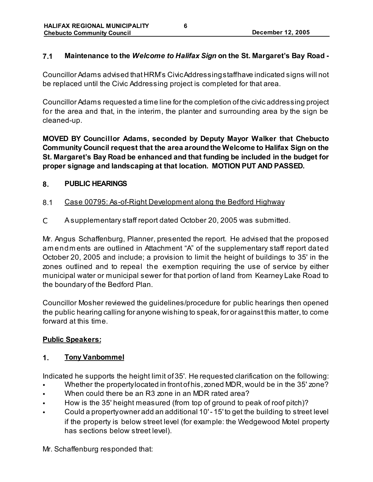## **7.1 Maintenance to the** *Welcome to Halifax Sign* **on the St. Margaret's Bay Road -**

Councillor Adams advised that HRM's Civic Addressing staff have indicated signs will not be replaced until the Civic Addressing project is completed for that area.

Councillor Adams requested a time line for the completion of the civic addressing project for the area and that, in the interim, the planter and surrounding area by the sign be cleaned-up.

**MOVED BY Councillor Adams, seconded by Deputy Mayor Walker that Chebucto Community Council request that the area around the Welcome to Halifax Sign on the St. Margaret's Bay Road be enhanced and that funding be included in the budget for proper signage and landscaping at that location. MOTION PUT AND PASSED.** 

### **8. PUBLIC HEARINGS**

- 8.1 Case 00795: As-of-Right Development along the Bedford Highway
- C A supplementary staff report dated October 20, 2005 was submitted.

Mr. Angus Schaffenburg, Planner, presented the report. He advised that the proposed am endm ents are outlined in Attachment "A" of the supplementary staff report dated October 20, 2005 and include; a provision to limit the height of buildings to 35' in the zones outlined and to repeal the exemption requiring the use of service by either municipal water or municipal sewer for that portion of land from Kearney Lake Road to the boundary of the Bedford Plan.

Councillor Mosher reviewed the guidelines/procedure for public hearings then opened the public hearing calling for anyone wishing to speak, for or against this matter, to come forward at this time.

### **Public Speakers:**

## **1. Tony Vanbommel**

Indicated he supports the height limit of 35'. He requested clarification on the following:

- Whether the property located in front of his, zoned MDR, would be in the 35' zone?
- When could there be an R3 zone in an MDR rated area?
- How is the 35' height measured (from top of ground to peak of roof pitch)?
- Could a property owner add an additional 10' 15' to get the building to street level if the property is below street level (for example: the Wedgewood Motel property has sections below street level).

Mr. Schaffenburg responded that: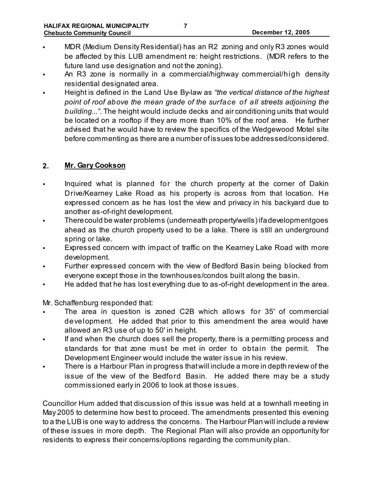- MDR (Medium Density Residential) has an R2 zoning and only R3 zones would be affected by this LUB amendment re: height restrictions. (MDR refers to the future land use designation and not the zoning).
- An R3 zone is normally in a commercial/highway commercial/high density residential designated area.
- Height is defined in the Land Use By-law as *"the vertical distance of the highest point of roof above the mean grade of the surface of all streets adjoining the building..."*. The height would include decks and air conditioning units that would be located on a rooftop if they are more than 10% of the roof area. He further advised that he would have to review the specifics of the Wedgewood Motel site before commenting as there are a number of issues to be addressed/considered.

### **2. Mr. Gary Cookson**

- Inquired what is planned for the church property at the corner of Dakin Drive/Kearney Lake Road as his property is across from that location. He expressed concern as he has lost the view and privacy in his backyard due to another as-of-right development.
- There could be water problems (underneath property/wells) if a development goes ahead as the church property used to be a lake. There is still an underground spring or lake.
- Expressed concern with impact of traffic on the Kearney Lake Road with more development.
- Further expressed concern with the view of Bedford Basin being blocked from everyone except those in the townhouses/condos built along the basin.
- He added that he has lost everything due to as-of-right development in the area.

Mr. Schaffenburg responded that:

- The area in question is zoned C2B which allows for 35' of commercial development. He added that prior to this amendment the area would have allowed an R3 use of up to 50' in height.
- If and when the church does sell the property, there is a permitting process and standards for that zone must be met in order to obtain the permit. The Development Engineer would include the water issue in his review.
- There is a Harbour Plan in progress that will include a more in depth review of the issue of the view of the Bedford Basin. He added there may be a study commissioned early in 2006 to look at those issues.

Councillor Hum added that discussion of this issue was held at a townhall meeting in May 2005 to determine how best to proceed. The amendments presented this evening to a the LUB is one way to address the concerns. The Harbour Plan will include a review of these issues in more depth. The Regional Plan will also provide an opportunity for residents to express their concerns/options regarding the community plan.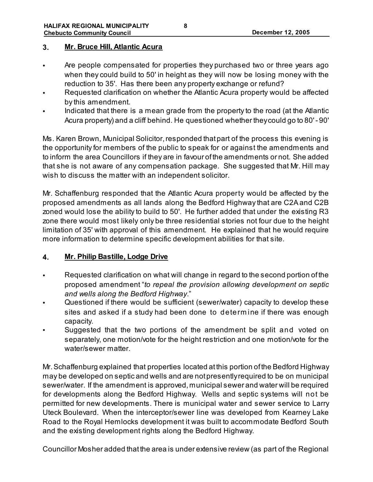### **3. Mr. Bruce Hill, Atlantic Acura**

- Are people compensated for properties they purchased two or three years ago when they could build to 50' in height as they will now be losing money with the reduction to 35'. Has there been any property exchange or refund?
- Requested clarification on whether the Atlantic Acura property would be affected by this amendment.
- Indicated that there is a mean grade from the property to the road (at the Atlantic Acura property) and a cliff behind. He questioned whether they could go to 80' - 90'

Ms. Karen Brown, Municipal Solicitor, responded that part of the process this evening is the opportunity for members of the public to speak for or against the amendments and to inform the area Councillors if they are in favour of the amendments or not. She added that she is not aware of any compensation package. She suggested that Mr. Hill may wish to discuss the matter with an independent solicitor.

Mr. Schaffenburg responded that the Atlantic Acura property would be affected by the proposed amendments as all lands along the Bedford Highway that are C2A and C2B zoned would lose the ability to build to 50'. He further added that under the existing R3 zone there would most likely only be three residential stories not four due to the height limitation of 35' with approval of this amendment. He explained that he would require more information to determine specific development abilities for that site.

### **4. Mr. Philip Bastille, Lodge Drive**

- Requested clarification on what will change in regard to the second portion of the proposed amendment "*to repeal the provision allowing development on septic and wells along the Bedford Highway*."
- Questioned if there would be sufficient (sewer/water) capacity to develop these sites and asked if a study had been done to determ ine if there was enough capacity.
- Suggested that the two portions of the amendment be split and voted on separately, one motion/vote for the height restriction and one motion/vote for the water/sewer matter.

Mr. Schaffenburg explained that properties located at this portion of the Bedford Highway may be developed on septic and wells and are not presently required to be on municipal sewer/water. If the amendment is approved, municipal sewer and water will be required for developments along the Bedford Highway. Wells and septic systems will not be permitted for new developments. There is municipal water and sewer service to Larry Uteck Boulevard. When the interceptor/sewer line was developed from Kearney Lake Road to the Royal Hemlocks development it was built to accommodate Bedford South and the existing development rights along the Bedford Highway.

Councillor Mosher added that the area is under extensive review (as part of the Regional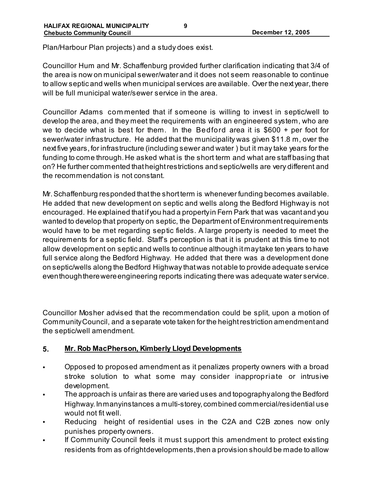Plan/Harbour Plan projects) and a study does exist.

Councillor Hum and Mr. Schaffenburg provided further clarification indicating that 3/4 of the area is now on municipal sewer/water and it does not seem reasonable to continue to allow septic and wells when municipal services are available. Over the next year, there will be full municipal water/sewer service in the area.

Councillor Adams com mented that if someone is willing to invest in septic/well to develop the area, and they meet the requirements with an engineered system, who are we to decide what is best for them. In the Bedford area it is \$600 + per foot for sewer/water infrastructure. He added that the municipality was given \$11.8 m, over the next five years, for infrastructure (including sewer and water ) but it may take years for the funding to come through. He asked what is the short term and what are staff basing that on? He further commented that height restrictions and septic/wells are very different and the recommendation is not constant.

Mr. Schaffenburg responded that the short term is whenever funding becomes available. He added that new development on septic and wells along the Bedford Highway is not encouraged. He explained that if you had a property in Fern Park that was vacant and you wanted to develop that property on septic, the Department of Environment requirements would have to be met regarding septic fields. A large property is needed to meet the requirements for a septic field. Staff's perception is that it is prudent at this time to not allow development on septic and wells to continue although it may take ten years to have full service along the Bedford Highway. He added that there was a development done on septic/wells along the Bedford Highway that was not able to provide adequate service even though there were engineering reports indicating there was adequate water service.

Councillor Mosher advised that the recommendation could be split, upon a motion of Community Council, and a separate vote taken for the height restriction amendment and the septic/well amendment.

### **5. Mr. Rob MacPherson, Kimberly Lloyd Developments**

- Opposed to proposed amendment as it penalizes property owners with a broad stroke solution to what some may consider inappropriate or intrusive development.
- The approach is unfair as there are varied uses and topography along the Bedford Highway. In manyinstances a multi-storey, combined commercial/residential use would not fit well.
- Reducing height of residential uses in the C2A and C2B zones now only punishes property owners.
- If Community Council feels it must support this amendment to protect existing residents from as of right developments, then a provision should be made to allow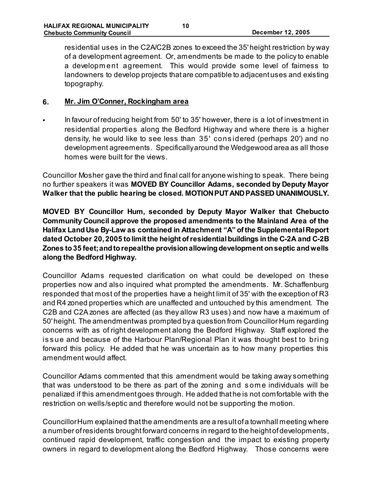residential uses in the C2A/C2B zones to exceed the 35' height restriction by way of a development agreement. Or, amendments be made to the policy to enable a developm ent agreement. This would provide some level of fairness to landowners to develop projects that are compatible to adjacent uses and existing topography.

### **6. Mr. Jim O'Conner, Rockingham area**

• In favour of reducing height from 50' to 35' however, there is a lot of investment in residential properties along the Bedford Highway and where there is a higher density, he would like to see less than 35' cons idered (perhaps 20') and no development agreements. Specifically around the Wedgewood area as all those homes were built for the views.

Councillor Mosher gave the third and final call for anyone wishing to speak. There being no further speakers it was **MOVED BY Councillor Adams, seconded by Deputy Mayor Walker that the public hearing be closed. MOTION PUT AND PASSED UNANIMOUSLY.**

**MOVED BY Councillor Hum, seconded by Deputy Mayor Walker that Chebucto Community Council approve the proposed amendments to the Mainland Area of the Halifax Land Use By-Law as contained in Attachment "A" of the Supplemental Report dated October 20, 2005 to limit the height of residential buildings in the C-2A and C-2B Zones to 35 feet; and to repeal the provision allowing development on septic and wells along the Bedford Highway.** 

Councillor Adams requested clarification on what could be developed on these properties now and also inquired what prompted the amendments. Mr. Schaffenburg responded that most of the properties have a height limit of 35' with the exception of R3 and R4 zoned properties which are unaffected and untouched by this amendment. The C2B and C2A zones are affected (as they allow R3 uses) and now have a maximum of 50' height. The amendmentwas prompted by a question from Councillor Hum regarding concerns with as of right development along the Bedford Highway. Staff explored the is sue and because of the Harbour Plan/Regional Plan it was thought best to bring forward this policy. He added that he was uncertain as to how many properties this amendment would affect.

Councillor Adams commented that this amendment would be taking away something that was understood to be there as part of the zoning and s om e individuals will be penalized if this amendment goes through. He added that he is not comfortable with the restriction on wells/septic and therefore would not be supporting the motion.

Councillor Hum explained that the amendments are a result of a townhall meeting where a number of residents brought forward concerns in regard to the height of developments, continued rapid development, traffic congestion and the impact to existing property owners in regard to development along the Bedford Highway. Those concerns were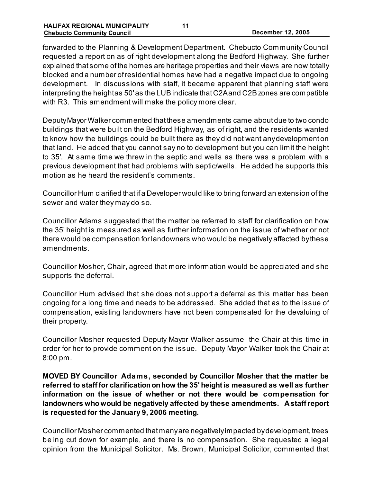forwarded to the Planning & Development Department. Chebucto Community Council requested a report on as of right development along the Bedford Highway. She further explained that some of the homes are heritage properties and their views are now totally blocked and a number of residential homes have had a negative impact due to ongoing development. In discussions with staff, it became apparent that planning staff were interpreting the height as 50' as the LUB indicate that C2A and C2B zones are compatible with R3. This amendment will make the policy more clear.

Deputy Mayor Walker commented that these amendments came about due to two condo buildings that were built on the Bedford Highway, as of right, and the residents wanted to know how the buildings could be built there as they did not want any development on that land. He added that you cannot say no to development but you can limit the height to 35'. At same time we threw in the septic and wells as there was a problem with a previous development that had problems with septic/wells. He added he supports this motion as he heard the resident's comments.

Councillor Hum clarified that if a Developer would like to bring forward an extension of the sewer and water they may do so.

Councillor Adams suggested that the matter be referred to staff for clarification on how the 35' height is measured as well as further information on the issue of whether or not there would be compensation for landowners who would be negatively affected by these amendments.

Councillor Mosher, Chair, agreed that more information would be appreciated and she supports the deferral.

Councillor Hum advised that she does not support a deferral as this matter has been ongoing for a long time and needs to be addressed. She added that as to the issue of compensation, existing landowners have not been compensated for the devaluing of their property.

Councillor Mosher requested Deputy Mayor Walker assume the Chair at this time in order for her to provide comment on the issue. Deputy Mayor Walker took the Chair at 8:00 pm.

**MOVED BY Councillor Adams, seconded by Councillor Mosher that the matter be referred to staff for clarification on how the 35' height is measured as well as further information on the issue of whether or not there would be compensation for landowners who would be negatively affected by these amendments. A staff report is requested for the January 9, 2006 meeting.** 

Councillor Mosher commented that many are negatively impacted by development, trees being cut down for example, and there is no compensation. She requested a legal opinion from the Municipal Solicitor. Ms. Brown, Municipal Solicitor, commented that

**11**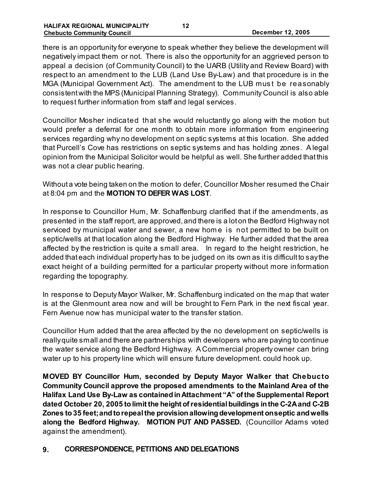there is an opportunity for everyone to speak whether they believe the development will negatively impact them or not. There is also the opportunity for an aggrieved person to appeal a decision (of Community Council) to the UARB (Utility and Review Board) with respect to an amendment to the LUB (Land Use By-Law) and that procedure is in the MGA (Municipal Government Act). The amendment to the LUB must be reasonably consistent with the MPS (Municipal Planning Strategy). Community Council is also able to request further information from staff and legal services.

Councillor Mosher indicated that she would reluctantly go along with the motion but would prefer a deferral for one month to obtain more information from engineering services regarding why no development on septic systems at this location. She added that Purcell's Cove has restrictions on septic systems and has holding zones. A legal opinion from the Municipal Solicitor would be helpful as well. She further added that this was not a clear public hearing.

Without a vote being taken on the motion to defer, Councillor Mosher resumed the Chair at 8:04 pm and the **MOTION TO DEFER WAS LOST**.

In response to Councillor Hum, Mr. Schaffenburg clarified that if the amendments, as presented in the staff report, are approved, and there is a lot on the Bedford Highway not serviced by municipal water and sewer, a new home is not permitted to be built on septic/wells at that location along the Bedford Highway. He further added that the area affected by the restriction is quite a small area. In regard to the height restriction, he added that each individual property has to be judged on its own as it is difficult to say the exact height of a building permitted for a particular property without more information regarding the topography.

In response to Deputy Mayor Walker, Mr. Schaffenburg indicated on the map that water is at the Glenmount area now and will be brought to Fern Park in the next fiscal year. Fern Avenue now has municipal water to the transfer station.

Councillor Hum added that the area affected by the no development on septic/wells is really quite small and there are partnerships with developers who are paying to continue the water service along the Bedford Highway. A Commercial property owner can bring water up to his property line which will ensure future development. could hook up.

**MOVED BY Councillor Hum, seconded by Deputy Mayor Walker that Chebucto Community Council approve the proposed amendments to the Mainland Area of the Halifax Land Use By-Law as contained in Attachment "A" of the Supplemental Report dated October 20, 2005 to limit the height of residential buildings in the C-2A and C-2B Zones to 35 feet; and to repeal the provision allowing development on septic and wells along the Bedford Highway. MOTION PUT AND PASSED.** (Councillor Adams voted against the amendment).

### **9. CORRESPONDENCE, PETITIONS AND DELEGATIONS**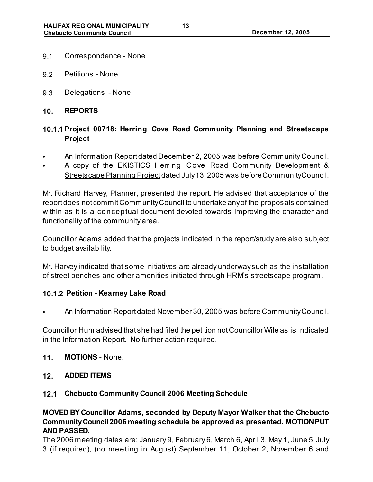- 9.1 Correspondence None
- 9.2 Petitions None
- 9.3 Delegations None
- **10. REPORTS**

# **10.1.1 Project 00718: Herring Cove Road Community Planning and Streetscape Project**

- An Information Report dated December 2, 2005 was before Community Council.
- A copy of the EKISTICS Herring Cove Road Community Development & Streetscape Planning Project dated July 13, 2005 was before Community Council.

Mr. Richard Harvey, Planner, presented the report. He advised that acceptance of the report does not commit Community Council to undertake any of the proposals contained within as it is a conceptual document devoted towards improving the character and functionality of the community area.

Councillor Adams added that the projects indicated in the report/study are also subject to budget availability.

Mr. Harvey indicated that some initiatives are already underway such as the installation of street benches and other amenities initiated through HRM's streetscape program.

### **10.1.2 Petition - Kearney Lake Road**

*•* An Information Report dated November 30, 2005 was before Community Council.

Councillor Hum advised that she had filed the petition not Councillor Wile as is indicated in the Information Report. No further action required.

- **11. MOTIONS** None.
- **12. ADDED ITEMS**

### **12.1 Chebucto Community Council 2006 Meeting Schedule**

**MOVED BY Councillor Adams, seconded by Deputy Mayor Walker that the Chebucto Community Council 2006 meeting schedule be approved as presented. MOTION PUT AND PASSED.** 

The 2006 meeting dates are: January 9, February 6, March 6, April 3, May 1, June 5, July 3 (if required), (no meeting in August) September 11, October 2, November 6 and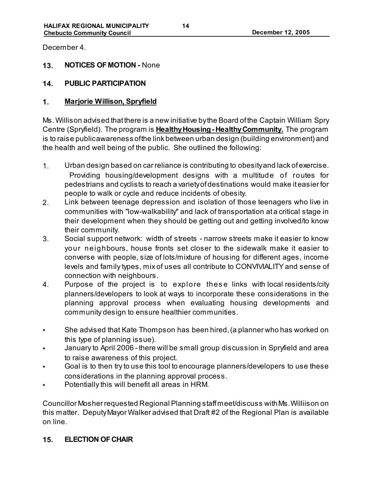December 4.

## **13. NOTICES OF MOTION -** None

## **14. PUBLIC PARTICIPATION**

### **1. Marjorie Willison, Spryfield**

Ms. Willison advised that there is a new initiative by the Board of the Captain William Spry Centre (Spryfield). The program is **Healthy Housing - Healthy Community.** The program is to raise public awareness of the link between urban design (building environment) and the health and well being of the public. She outlined the following:

- 1. Urban design based on car reliance is contributing to obesity and lack of exercise. Providing housing/development designs with a multitude of routes for pedestrians and cyclists to reach a variety of destinations would make it easier for people to walk or cycle and reduce incidents of obesity.
- 2. Link between teenage depression and isolation of those teenagers who live in communities with "low-walkability" and lack of transportation at a critical stage in their development when they should be getting out and getting involved/to know their community.
- 3. Social support network: width of streets narrow streets make it easier to know your neighbours, house fronts set closer to the sidewalk make it easier to converse with people, size of lots/mixture of housing for different ages, income levels and family types, mix of uses all contribute to CONVIVIALITY and sense of connection with neighbours.
- 4. Purpose of the project is to explore these links with local residents/city planners/developers to look at ways to incorporate these considerations in the planning approval process when evaluating housing developments and community design to ensure healthier communities.
- She advised that Kate Thompson has been hired, (a planner who has worked on this type of planning issue).
- January to April 2006 there will be small group discussion in Spryfield and area to raise awareness of this project.
- Goal is to then try to use this tool to encourage planners/developers to use these considerations in the planning approval process.
- Potentially this will benefit all areas in HRM.

Councillor Mosher requested Regional Planning staff meet/discuss with Ms. Williison on this matter. Deputy Mayor Walker advised that Draft #2 of the Regional Plan is available on line.

## **15. ELECTION OF CHAIR**